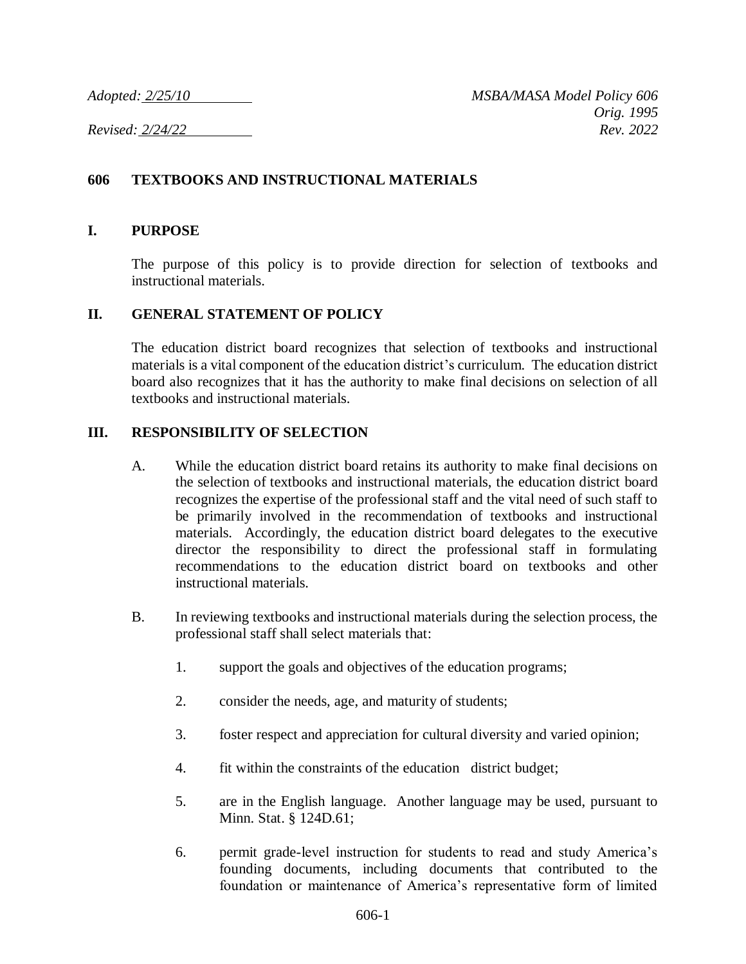## **606 TEXTBOOKS AND INSTRUCTIONAL MATERIALS**

### **I. PURPOSE**

The purpose of this policy is to provide direction for selection of textbooks and instructional materials.

#### **II. GENERAL STATEMENT OF POLICY**

The education district board recognizes that selection of textbooks and instructional materials is a vital component of the education district's curriculum. The education district board also recognizes that it has the authority to make final decisions on selection of all textbooks and instructional materials.

### **III. RESPONSIBILITY OF SELECTION**

- A. While the education district board retains its authority to make final decisions on the selection of textbooks and instructional materials, the education district board recognizes the expertise of the professional staff and the vital need of such staff to be primarily involved in the recommendation of textbooks and instructional materials. Accordingly, the education district board delegates to the executive director the responsibility to direct the professional staff in formulating recommendations to the education district board on textbooks and other instructional materials.
- B. In reviewing textbooks and instructional materials during the selection process, the professional staff shall select materials that:
	- 1. support the goals and objectives of the education programs;
	- 2. consider the needs, age, and maturity of students;
	- 3. foster respect and appreciation for cultural diversity and varied opinion;
	- 4. fit within the constraints of the education district budget;
	- 5. are in the English language. Another language may be used, pursuant to Minn. Stat. § 124D.61;
	- 6. permit grade-level instruction for students to read and study America's founding documents, including documents that contributed to the foundation or maintenance of America's representative form of limited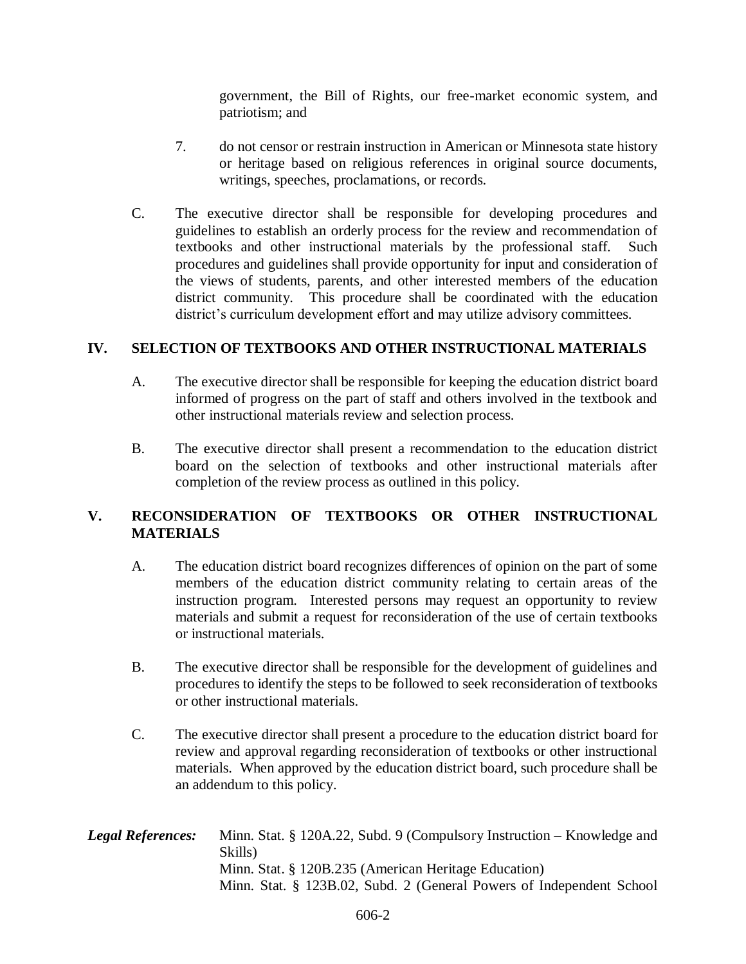government, the Bill of Rights, our free-market economic system, and patriotism; and

- 7. do not censor or restrain instruction in American or Minnesota state history or heritage based on religious references in original source documents, writings, speeches, proclamations, or records.
- C. The executive director shall be responsible for developing procedures and guidelines to establish an orderly process for the review and recommendation of textbooks and other instructional materials by the professional staff. Such procedures and guidelines shall provide opportunity for input and consideration of the views of students, parents, and other interested members of the education district community. This procedure shall be coordinated with the education district's curriculum development effort and may utilize advisory committees.

### **IV. SELECTION OF TEXTBOOKS AND OTHER INSTRUCTIONAL MATERIALS**

- A. The executive director shall be responsible for keeping the education district board informed of progress on the part of staff and others involved in the textbook and other instructional materials review and selection process.
- B. The executive director shall present a recommendation to the education district board on the selection of textbooks and other instructional materials after completion of the review process as outlined in this policy.

# **V. RECONSIDERATION OF TEXTBOOKS OR OTHER INSTRUCTIONAL MATERIALS**

- A. The education district board recognizes differences of opinion on the part of some members of the education district community relating to certain areas of the instruction program. Interested persons may request an opportunity to review materials and submit a request for reconsideration of the use of certain textbooks or instructional materials.
- B. The executive director shall be responsible for the development of guidelines and procedures to identify the steps to be followed to seek reconsideration of textbooks or other instructional materials.
- C. The executive director shall present a procedure to the education district board for review and approval regarding reconsideration of textbooks or other instructional materials. When approved by the education district board, such procedure shall be an addendum to this policy.
- *Legal References:* Minn. Stat. § 120A.22, Subd. 9 (Compulsory Instruction Knowledge and Skills) Minn. Stat. § 120B.235 (American Heritage Education) Minn. Stat. § 123B.02, Subd. 2 (General Powers of Independent School